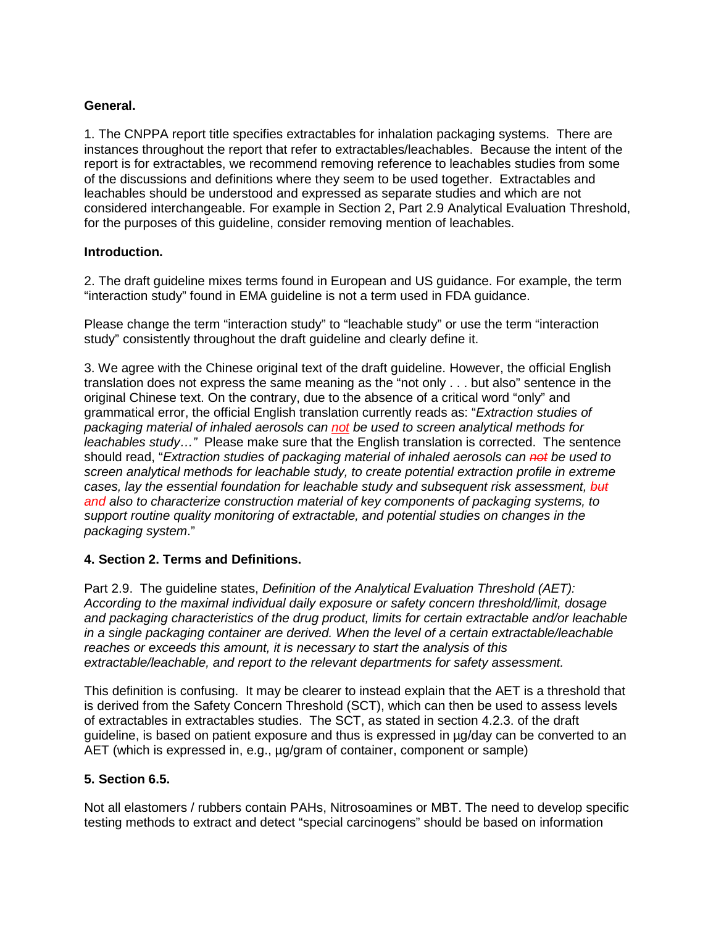# **General.**

1. The CNPPA report title specifies extractables for inhalation packaging systems. There are instances throughout the report that refer to extractables/leachables. Because the intent of the report is for extractables, we recommend removing reference to leachables studies from some of the discussions and definitions where they seem to be used together. Extractables and leachables should be understood and expressed as separate studies and which are not considered interchangeable. For example in Section 2, Part 2.9 Analytical Evaluation Threshold, for the purposes of this guideline, consider removing mention of leachables.

## **Introduction.**

2. The draft guideline mixes terms found in European and US guidance. For example, the term "interaction study" found in EMA guideline is not a term used in FDA guidance.

Please change the term "interaction study" to "leachable study" or use the term "interaction study" consistently throughout the draft guideline and clearly define it.

3. We agree with the Chinese original text of the draft guideline. However, the official English translation does not express the same meaning as the "not only . . . but also" sentence in the original Chinese text. On the contrary, due to the absence of a critical word "only" and grammatical error, the official English translation currently reads as: "*Extraction studies of packaging material of inhaled aerosols can not be used to screen analytical methods for leachables study…"* Please make sure that the English translation is corrected. The sentence should read, "*Extraction studies of packaging material of inhaled aerosols can not be used to screen analytical methods for leachable study, to create potential extraction profile in extreme cases, lay the essential foundation for leachable study and subsequent risk assessment, but and also to characterize construction material of key components of packaging systems, to support routine quality monitoring of extractable, and potential studies on changes in the packaging system*."

## **4. Section 2. Terms and Definitions.**

Part 2.9. The guideline states, *Definition of the Analytical Evaluation Threshold (AET): According to the maximal individual daily exposure or safety concern threshold/limit, dosage and packaging characteristics of the drug product, limits for certain extractable and/or leachable in a single packaging container are derived. When the level of a certain extractable/leachable reaches or exceeds this amount, it is necessary to start the analysis of this extractable/leachable, and report to the relevant departments for safety assessment.* 

This definition is confusing. It may be clearer to instead explain that the AET is a threshold that is derived from the Safety Concern Threshold (SCT), which can then be used to assess levels of extractables in extractables studies. The SCT, as stated in section 4.2.3. of the draft guideline, is based on patient exposure and thus is expressed in µg/day can be converted to an AET (which is expressed in, e.g., µg/gram of container, component or sample)

## **5. Section 6.5.**

Not all elastomers / rubbers contain PAHs, Nitrosoamines or MBT. The need to develop specific testing methods to extract and detect "special carcinogens" should be based on information